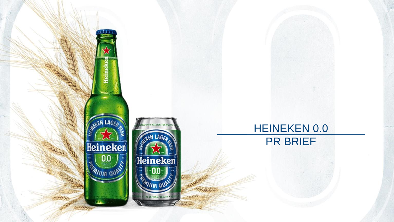